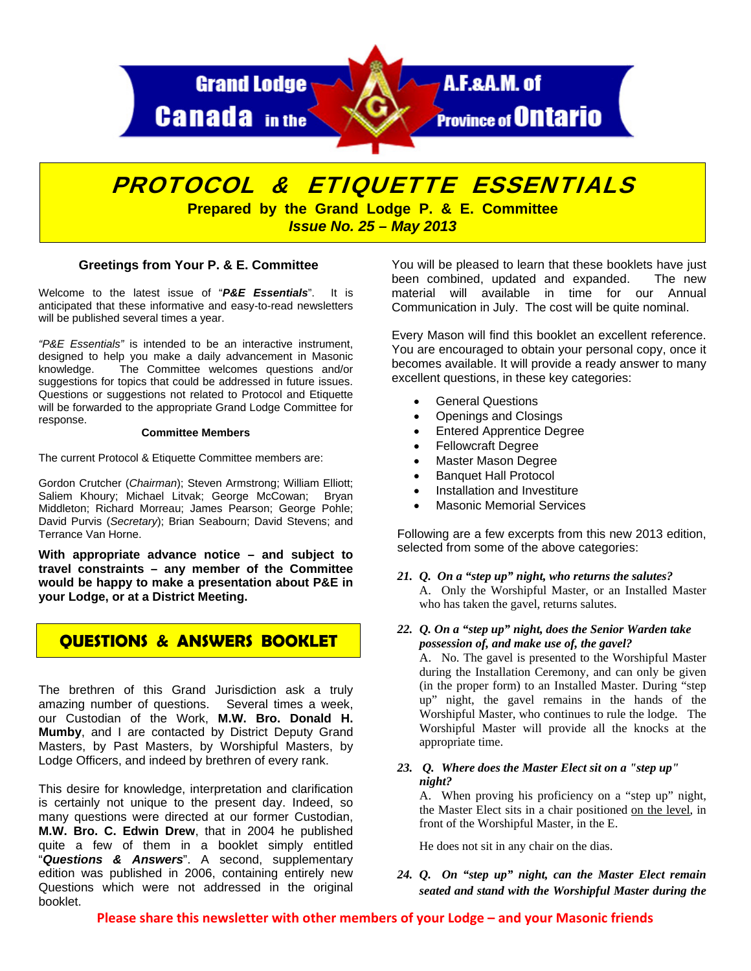

# PROTOCOL & ETIQUETTE ESSENTIALS

**Prepared by the Grand Lodge P. & E. Committee**  *Issue No. 25 – May 2013* 

# **Greetings from Your P. & E. Committee**

Welcome to the latest issue of "*P&E Essentials*". It is anticipated that these informative and easy-to-read newsletters will be published several times a year.

*"P&E Essentials"* is intended to be an interactive instrument, designed to help you make a daily advancement in Masonic knowledge. The Committee welcomes questions and/or suggestions for topics that could be addressed in future issues. Questions or suggestions not related to Protocol and Etiquette will be forwarded to the appropriate Grand Lodge Committee for response.

#### **Committee Members**

The current Protocol & Etiquette Committee members are:

Gordon Crutcher (*Chairman*); Steven Armstrong; William Elliott; Saliem Khoury; Michael Litvak; George McCowan; Bryan Middleton; Richard Morreau; James Pearson; George Pohle; David Purvis (*Secretary*); Brian Seabourn; David Stevens; and Terrance Van Horne.

**With appropriate advance notice – and subject to travel constraints – any member of the Committee would be happy to make a presentation about P&E in your Lodge, or at a District Meeting.** 

# **QUESTIONS & ANSWERS BOOKLET**

The brethren of this Grand Jurisdiction ask a truly amazing number of questions. Several times a week, our Custodian of the Work, **M.W. Bro. Donald H. Mumby**, and I are contacted by District Deputy Grand Masters, by Past Masters, by Worshipful Masters, by Lodge Officers, and indeed by brethren of every rank.

This desire for knowledge, interpretation and clarification is certainly not unique to the present day. Indeed, so many questions were directed at our former Custodian, **M.W. Bro. C. Edwin Drew**, that in 2004 he published quite a few of them in a booklet simply entitled "*Questions & Answers*". A second, supplementary edition was published in 2006, containing entirely new Questions which were not addressed in the original booklet.

You will be pleased to learn that these booklets have just been combined, updated and expanded. The new material will available in time for our Annual Communication in July. The cost will be quite nominal.

Every Mason will find this booklet an excellent reference. You are encouraged to obtain your personal copy, once it becomes available. It will provide a ready answer to many excellent questions, in these key categories:

- General Questions
- Openings and Closings
- Entered Apprentice Degree
- Fellowcraft Degree
- Master Mason Degree
- Banquet Hall Protocol
- Installation and Investiture
- Masonic Memorial Services

Following are a few excerpts from this new 2013 edition, selected from some of the above categories:

*21. Q. On a "step up" night, who returns the salutes?*  A. Only the Worshipful Master, or an Installed Master who has taken the gavel, returns salutes.

# *22. Q. On a "step up" night, does the Senior Warden take possession of, and make use of, the gavel?*

A. No. The gavel is presented to the Worshipful Master during the Installation Ceremony, and can only be given (in the proper form) to an Installed Master. During "step up" night, the gavel remains in the hands of the Worshipful Master, who continues to rule the lodge. The Worshipful Master will provide all the knocks at the appropriate time.

*23. Q. Where does the Master Elect sit on a "step up" night?* 

A. When proving his proficiency on a "step up" night, the Master Elect sits in a chair positioned on the level, in front of the Worshipful Master, in the E.

He does not sit in any chair on the dias.

# *24. Q. On "step up" night, can the Master Elect remain seated and stand with the Worshipful Master during the*

**Please share this newsletter with other members of your Lodge – and your Masonic friends**